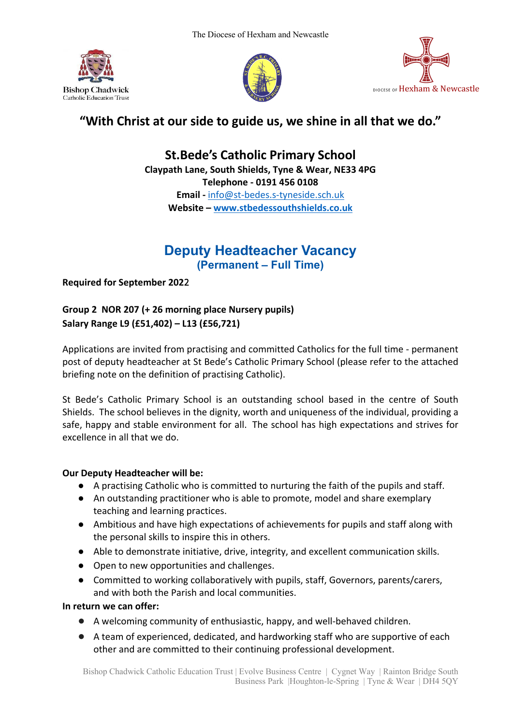





# **"With Christ at our side to guide us, we shine in all that we do."**

**St.Bede's Catholic Primary School Claypath Lane, South Shields, Tyne & Wear, NE33 4PG Telephone - 0191 456 0108**

**Email -** info@st-bedes.s-tyneside.sch.uk **Website – www.stbedessouthshields.co.uk**

## **Deputy Headteacher Vacancy (Permanent – Full Time)**

**Required for September 202**2

**Group 2 NOR 207 (+ 26 morning place Nursery pupils) Salary Range L9 (£51,402) – L13 (£56,721)**

Applications are invited from practising and committed Catholics for the full time - permanent post of deputy headteacher at St Bede's Catholic Primary School (please refer to the attached briefing note on the definition of practising Catholic).

St Bede's Catholic Primary School is an outstanding school based in the centre of South Shields. The school believes in the dignity, worth and uniqueness of the individual, providing a safe, happy and stable environment for all. The school has high expectations and strives for excellence in all that we do.

### **Our Deputy Headteacher will be:**

- A practising Catholic who is committed to nurturing the faith of the pupils and staff.
- An outstanding practitioner who is able to promote, model and share exemplary teaching and learning practices.
- Ambitious and have high expectations of achievements for pupils and staff along with the personal skills to inspire this in others.
- Able to demonstrate initiative, drive, integrity, and excellent communication skills.
- Open to new opportunities and challenges.
- Committed to working collaboratively with pupils, staff, Governors, parents/carers, and with both the Parish and local communities.

**In return we can offer:**

- A welcoming community of enthusiastic, happy, and well-behaved children.
- A team of experienced, dedicated, and hardworking staff who are supportive of each other and are committed to their continuing professional development.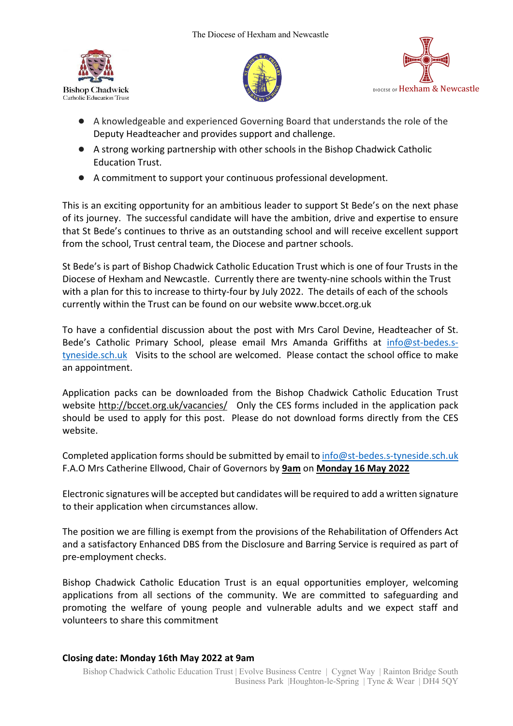





- A knowledgeable and experienced Governing Board that understands the role of the Deputy Headteacher and provides support and challenge.
- A strong working partnership with other schools in the Bishop Chadwick Catholic Education Trust.
- A commitment to support your continuous professional development.

This is an exciting opportunity for an ambitious leader to support St Bede's on the next phase of its journey. The successful candidate will have the ambition, drive and expertise to ensure that St Bede's continues to thrive as an outstanding school and will receive excellent support from the school, Trust central team, the Diocese and partner schools.

St Bede's is part of Bishop Chadwick Catholic Education Trust which is one of four Trusts in the Diocese of Hexham and Newcastle. Currently there are twenty-nine schools within the Trust with a plan for this to increase to thirty-four by July 2022. The details of each of the schools currently within the Trust can be found on our website www.bccet.org.uk

To have a confidential discussion about the post with Mrs Carol Devine, Headteacher of St. Bede's Catholic Primary School, please email Mrs Amanda Griffiths at info@st-bedes.styneside.sch.uk Visits to the school are welcomed. Please contact the school office to make an appointment.

Application packs can be downloaded from the Bishop Chadwick Catholic Education Trust website http://bccet.org.uk/vacancies/ Only the CES forms included in the application pack should be used to apply for this post. Please do not download forms directly from the CES website.

Completed application forms should be submitted by email to info@st-bedes.s-tyneside.sch.uk F.A.O Mrs Catherine Ellwood, Chair of Governors by **9am** on **Monday 16 May 2022**

Electronic signatures will be accepted but candidates will be required to add a written signature to their application when circumstances allow.

The position we are filling is exempt from the provisions of the Rehabilitation of Offenders Act and a satisfactory Enhanced DBS from the Disclosure and Barring Service is required as part of pre-employment checks.

Bishop Chadwick Catholic Education Trust is an equal opportunities employer, welcoming applications from all sections of the community. We are committed to safeguarding and promoting the welfare of young people and vulnerable adults and we expect staff and volunteers to share this commitment

#### **Closing date: Monday 16th May 2022 at 9am**